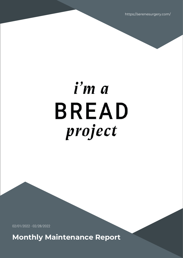https://serenesurgery.com/

# i'm a **BREAD** project

02/01/2022 - 02/28/2022

**Monthly Maintenance Report**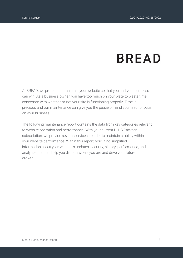# **BREAD**

At BREAD, we protect and maintain your website so that you and your business can win. As a business owner, you have too much on your plate to waste time concerned with whether-or-not your site is functioning properly. Time is precious and our maintenance can give you the peace of mind you need to focus on your business.

The following maintenance report contains the data from key categories relevant to website operation and performance. With your current PLUS Package subscription, we provide several services in order to maintain stability within your website performance. Within this report, you'll find simplified information about your website's updates, security, history, performance, and analytics that can help you discern where you are and drive your future growth.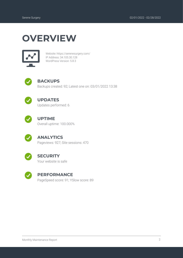### **OVERVIEW**



Website: https://serenesurgery.com/ IP Address: 34.105.30.128 WordPress Version: 5.8.3



### **BACKUPS**

Backups created: 92; Latest one on: 03/01/2022 13:38



### **UPDATES**

Updates performed: 6



### **UPTIME**

Overall uptime: 100.000%



### **ANALYTICS**

Pageviews: 927; Site sessions: 470



#### **SECURITY**

Your website is safe



#### **PERFORMANCE**

PageSpeed score: 91; YSlow score: 89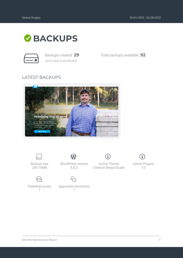Active Plugins 12

 $\bf (i)$ 



*02/01/2022 to 02/28/2022*

Backups created: **29** Total backups available: **92**

### LATEST BACKUPS





Backup size 259.16MB



Published posts 1

WordPress version 5.8.3

W

Active Theme Creative Bread Studio

i,



Approved comments 1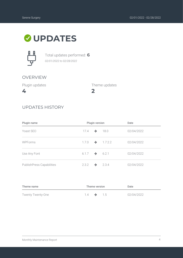### **UPDATES**



Total updates performed: **6** *02/01/2022 to 02/28/2022*

### OVERVIEW

Plugin updates

**4**

**2** Theme updates

### UPDATES HISTORY

| Plugin name                      | Plugin version |               | Date                      |            |
|----------------------------------|----------------|---------------|---------------------------|------------|
| Yoast SEO                        | 17.4           | $\rightarrow$ | 18.0                      | 02/04/2022 |
| <b>WPForms</b>                   | 1.7.0          | $\rightarrow$ | 1.7.2.2                   | 02/04/2022 |
| Use Any Font                     |                |               | $6.1.7 \rightarrow 6.2.1$ | 02/04/2022 |
| <b>PublishPress Capabilities</b> | 2.3.2          | →             | 2.3.4                     | 02/04/2022 |

| Theme name               | Theme version    |  | Date  |            |
|--------------------------|------------------|--|-------|------------|
| <b>Twenty Twenty-One</b> | $14 \rightarrow$ |  | - 1.5 | 02/04/2022 |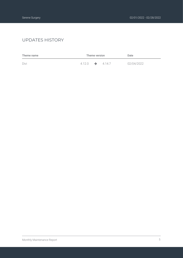### UPDATES HISTORY

| Theme name | Theme version        |  | Date   |            |
|------------|----------------------|--|--------|------------|
| Divi       | $4.12.0 \rightarrow$ |  | 4.14.7 | 02/04/2022 |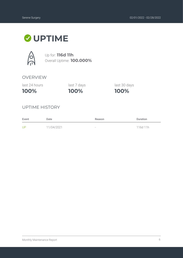### **UPTIME**



Up for: **116d 11h** Overall Uptime: **100.000%**

### OVERVIEW

last 24 hours

**100%**

**100%** last 7 days last 30 days

**100%**

UPTIME HISTORY

| Event | Date       | Reason                          | <b>Duration</b> |
|-------|------------|---------------------------------|-----------------|
| UP    | 11/04/2021 | $\hspace{0.1mm}-\hspace{0.1mm}$ | 116d 11h        |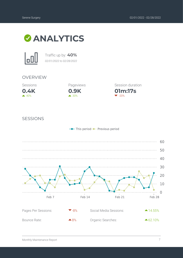



Traffic up by: **40%** *02/01/2022 to 02/28/2022*

#### OVERVIEW





**01m:17s** Session duration  $\blacktriangledown$  -20%

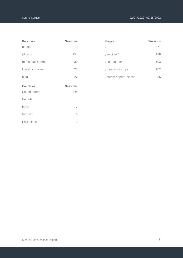| <b>Referrers</b>     | <b>Sessions</b> |
|----------------------|-----------------|
| google               | 213             |
| (direct)             | 154             |
| m.facebook.com       | 30              |
| I.facebook.com       | 25              |
| bing                 | 22              |
|                      |                 |
| <b>Countries</b>     | <b>Sessions</b> |
| <b>United States</b> | 444             |
| Canada               | $\overline{7}$  |
| India                | 7               |
| (not set)            | 6               |

| Pages                  | <b>Sessions</b> |
|------------------------|-----------------|
|                        | 471             |
| /services/             | 118             |
| /contact-us/           | 103             |
| /meet-dr-bishop/       | 102             |
| /career-opportunities/ |                 |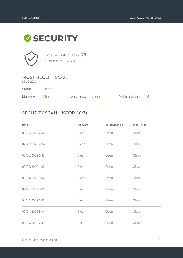### **SECURITY**



Total security checks: **29** *02/01/2022 to 02/28/2022*

### MOST RECENT SCAN

*02/28/2022*

Status: Clean

| Malware: Clean | Web Trust: Clean | Vulnerabilities: 0 |  |
|----------------|------------------|--------------------|--|

### SECURITY SCAN HISTORY (1/3)

| Date            | <b>Malware</b> | <b>Vulnerabilities</b> | <b>Web Trust</b> |
|-----------------|----------------|------------------------|------------------|
| 02/28/2022 7:32 | Clean          | Clean                  | Clean            |
| 02/27/2022 7:34 | Clean          | Clean                  | Clean            |
| 02/26/2022 6:33 | Clean          | Clean                  | Clean            |
| 02/25/2022 6:05 | Clean          | Clean                  | Clean            |
| 02/24/2022 3:02 | Clean          | Clean                  | Clean            |
| 02/23/2022 8:06 | Clean          | Clean                  | Clean            |
| 02/22/2022 6:30 | Clean          | Clean                  | Clean            |
| 02/21/2022 8:04 | Clean          | Clean                  | Clean            |
| 02/20/2022 7:33 | Clean          | Clean                  | Clean            |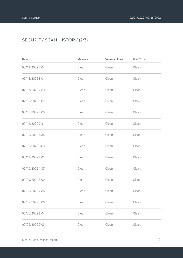### SECURITY SCAN HISTORY (2/3)

| Date            | <b>Malware</b> | Vulnerabilities | <b>Web Trust</b> |
|-----------------|----------------|-----------------|------------------|
| 02/19/2022 7:04 | Clean          | Clean           | Clean            |
| 02/18/2022 8:01 | Clean          | Clean           | Clean            |
| 02/17/2022 7:30 | Clean          | Clean           | Clean            |
| 02/16/2022 1:02 | Clean          | Clean           | Clean            |
| 02/15/2022 8:05 | Clean          | Clean           | Clean            |
| 02/14/2022 7:31 | Clean          | Clean           | Clean            |
| 02/13/2022 6:36 | Clean          | Clean           | Clean            |
| 02/12/2022 8:03 | Clean          | Clean           | Clean            |
| 02/11/2022 8:02 | Clean          | Clean           | Clean            |
| 02/10/2022 1:37 | Clean          | Clean           | Clean            |
| 02/09/2022 8:00 | Clean          | Clean           | Clean            |
| 02/08/2022 7:35 | Clean          | Clean           | Clean            |
| 02/07/2022 7:06 | Clean          | Clean           | Clean            |
| 02/06/2022 8:04 | Clean          | Clean           | Clean            |
| 02/05/2022 7:03 | Clean          | Clean           | Clean            |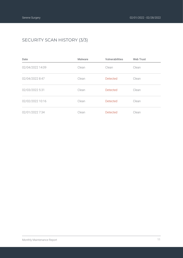### SECURITY SCAN HISTORY (3/3)

| Date             | <b>Malware</b> | <b>Vulnerabilities</b> | <b>Web Trust</b> |
|------------------|----------------|------------------------|------------------|
| 02/04/2022 14:09 | Clean          | Clean                  | Clean            |
| 02/04/2022 8:47  | Clean          | <b>Detected</b>        | Clean            |
| 02/03/2022 5:31  | Clean          | <b>Detected</b>        | Clean            |
| 02/02/2022 10:16 | Clean          | <b>Detected</b>        | Clean            |
| 02/01/2022 7:34  | Clean          | <b>Detected</b>        | Clean            |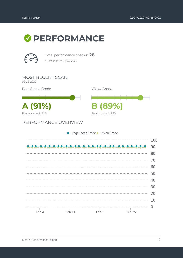### *O* PERFORMANCE



Total performance checks: **28** *02/01/2022 to 02/28/2022*

MOST RECENT SCAN *02/28/2022*

PageSpeed Grade

**A (91%) B (89%)** Previous check: 91%

PERFORMANCE OVERVIEW

|                          |            | - PageSpeedGrade - YSlowGrade |          |     |
|--------------------------|------------|-------------------------------|----------|-----|
|                          |            |                               |          | 100 |
|                          |            |                               |          | 90  |
|                          |            |                               |          | 80  |
|                          |            |                               |          | 70  |
|                          |            |                               |          | 60  |
|                          |            |                               |          | 50  |
|                          |            |                               |          | 40  |
|                          |            |                               |          | 30  |
|                          |            |                               |          | 20  |
|                          |            |                               |          | 10  |
| $\overline{\phantom{a}}$ | $\sim$ 1.1 | $\sim$ 1                      | $\sim$ 1 |     |
| Feb 4                    | Feb 11     | Feb 18                        | Feb 25   |     |

YSlow Grade

Previous check: 89%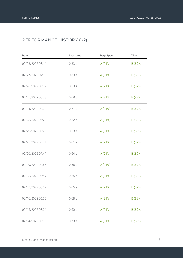### PERFORMANCE HISTORY (1/2)

| Date             | Load time | PageSpeed | YSlow   |
|------------------|-----------|-----------|---------|
| 02/28/2022 08:11 | 0.83s     | A(91%)    | B (89%) |
| 02/27/2022 07:11 | 0.63s     | A (91%)   | B (89%) |
| 02/26/2022 08:07 | 0.58s     | A (91%)   | B (89%) |
| 02/25/2022 06:38 | 0.68s     | A (91%)   | B (89%) |
| 02/24/2022 08:23 | 0.71 s    | A (91%)   | B (89%) |
| 02/23/2022 05:28 | 0.62s     | A (91%)   | B (89%) |
| 02/22/2022 08:26 | 0.58s     | A (91%)   | B (89%) |
| 02/21/2022 00:34 | 0.61s     | A (91%)   | B (89%) |
| 02/20/2022 07:47 | 0.64s     | A (91%)   | B (89%) |
| 02/19/2022 03:56 | 0.56s     | A (91%)   | B (89%) |
| 02/18/2022 00:47 | 0.65s     | A (91%)   | B (89%) |
| 02/17/2022 08:12 | 0.65s     | A (91%)   | B (89%) |
| 02/16/2022 06:55 | 0.68s     | A (91%)   | B (89%) |
| 02/15/2022 08:01 | 0.60s     | A (91%)   | B (89%) |
| 02/14/2022 05:11 | 0.73s     | A (91%)   | B (89%) |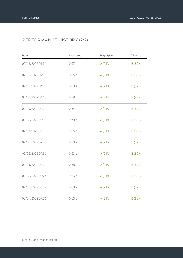### PERFORMANCE HISTORY (2/2)

| Date             | Load time | PageSpeed | YSlow   |
|------------------|-----------|-----------|---------|
| 02/13/2022 01:56 | 0.67s     | A (91%)   | B (89%) |
| 02/12/2022 07:35 | 0.65s     | A (91%)   | B (89%) |
| 02/11/2022 04:35 | 0.68s     | A (91%)   | B (89%) |
| 02/10/2022 04:53 | 0.58s     | A (91%)   | B (89%) |
| 02/09/2022 02:00 | 0.64s     | A (91%)   | B (89%) |
| 02/08/2022 08:08 | 0.78s     | A (91%)   | B (89%) |
| 02/07/2022 08:06 | 0.66s     | A (91%)   | B (89%) |
| 02/06/2022 07:40 | 0.70 s    | A (91%)   | B (89%) |
| 02/05/2022 07:36 | 0.63s     | A (91%)   | B (89%) |
| 02/04/2022 07:20 | 0.88s     | A (91%)   | B (89%) |
| 02/03/2022 02:24 | 0.66s     | A (91%)   | B (89%) |
| 02/02/2022 08:07 | 0.68s     | A (91%)   | B (89%) |
| 02/01/2022 07:36 | 0.63s     | A (91%)   | B (89%) |